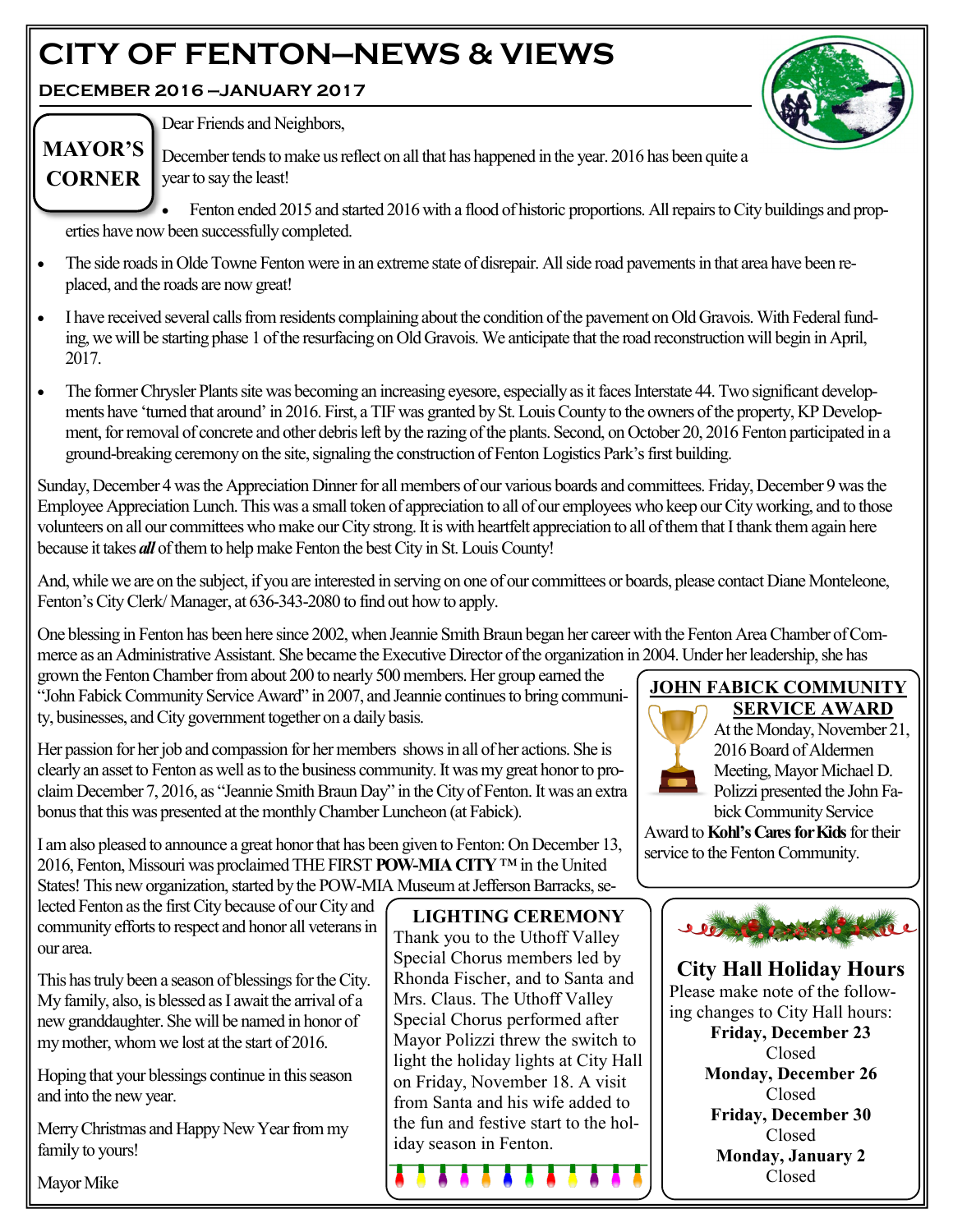# **CITY OF FENTON—NEWS & VIEWS**

**DECEMBER 2016 —JANUARY 2017**



Dear Friends and Neighbors,

December tends to make us reflect on all that has happened in the year. 2016 has been quite a **CORNER** | year to say the least! **MAYOR'S** 

 Fenton ended 2015 and started 2016 with a flood of historic proportions. All repairs to City buildings and properties have now been successfully completed.

- The side roads in Olde Towne Fenton were in an extreme state of disrepair. All side road pavements in that area have been replaced, and the roads are now great!
- I have received several calls from residents complaining about the condition of the pavement on Old Gravois. With Federal funding, we will be starting phase 1 of the resurfacing on Old Gravois. We anticipate that the road reconstruction will begin in April, 2017.
- The former Chrysler Plants site was becoming an increasing eyesore, especially as it faces Interstate 44. Two significant developments have 'turned that around' in 2016. First, a TIF was granted by St. Louis County to the owners of the property, KP Development, for removal of concrete and other debris left by the razing of the plants. Second, on October 20, 2016 Fenton participated in a ground-breaking ceremony on the site, signaling the construction of Fenton Logistics Park's first building.

Sunday, December 4 was the Appreciation Dinner for all members of our various boards and committees. Friday, December 9 was the Employee Appreciation Lunch. This was a small token of appreciation to all of our employees who keep our City working, and to those volunteers on all our committees who make our City strong. It is with heartfelt appreciation to all of them that I thank themagain here because it takes *all* of them to help make Fenton the best City in St. Louis County!

And, while we are on the subject, if you are interested in serving on one of our committees or boards, please contact Diane Monteleone, Fenton's City Clerk/ Manager, at 636-343-2080 to find out how to apply.

One blessing in Fenton has been here since 2002, when Jeannie Smith Braun began her career with the Fenton Area Chamber of Commerce as an Administrative Assistant. She became the Executive Director of the organization in 2004. Under her leadership, she has

grown the Fenton Chamber from about 200 to nearly 500 members. Her group earned the "John Fabick Community Service Award" in 2007, and Jeannie continues to bring community, businesses, and City government together on a daily basis.

Her passion for her job and compassion for her members shows in all of her actions. She is clearly an asset to Fenton as well as to the business community. It was my great honor to proclaim December 7, 2016, as "Jeannie Smith Braun Day" in the City of Fenton. It was an extra bonus that this was presented at the monthly Chamber Luncheon (at Fabick).

I am also pleased to announce a great honor that has been given to Fenton: On December 13, 2016, Fenton, Missouri was proclaimed THE FIRST **POW-MIA CITY**™ in the United States! This new organization, started by the POW-MIA Museum at Jefferson Barracks, se-

lected Fenton as the first City because of our City and community efforts to respect and honor all veterans in our area.

This has truly been a season of blessings for the City. My family, also, is blessed as I await the arrival of a new granddaughter. She will be named in honor of my mother, whom we lost at the start of 2016.

Hoping that your blessings continue in this season and into the new year.

Merry Christmas and Happy New Year from my family to yours!

Mayor Mike

**LIGHTING CEREMONY** Thank you to the Uthoff Valley Special Chorus members led by Rhonda Fischer, and to Santa and Mrs. Claus. The Uthoff Valley Special Chorus performed after Mayor Polizzi threw the switch to light the holiday lights at City Hall on Friday, November 18. A visit from Santa and his wife added to the fun and festive start to the holiday season in Fenton.

#### **JOHN FABICK COMMUNITY SERVICE AWARD**



#### At the Monday, November 21, 2016 Board of Aldermen Meeting, Mayor Michael D. Polizzi presented the John Fabick Community Service

Award to **Kohl's Cares for Kids** for their service to the Fenton Community.



**City Hall Holiday Hours** Please make note of the following changes to City Hall hours: **Friday, December 23**  Closed **Monday, December 26** Closed **Friday, December 30** Closed **Monday, January 2** Closed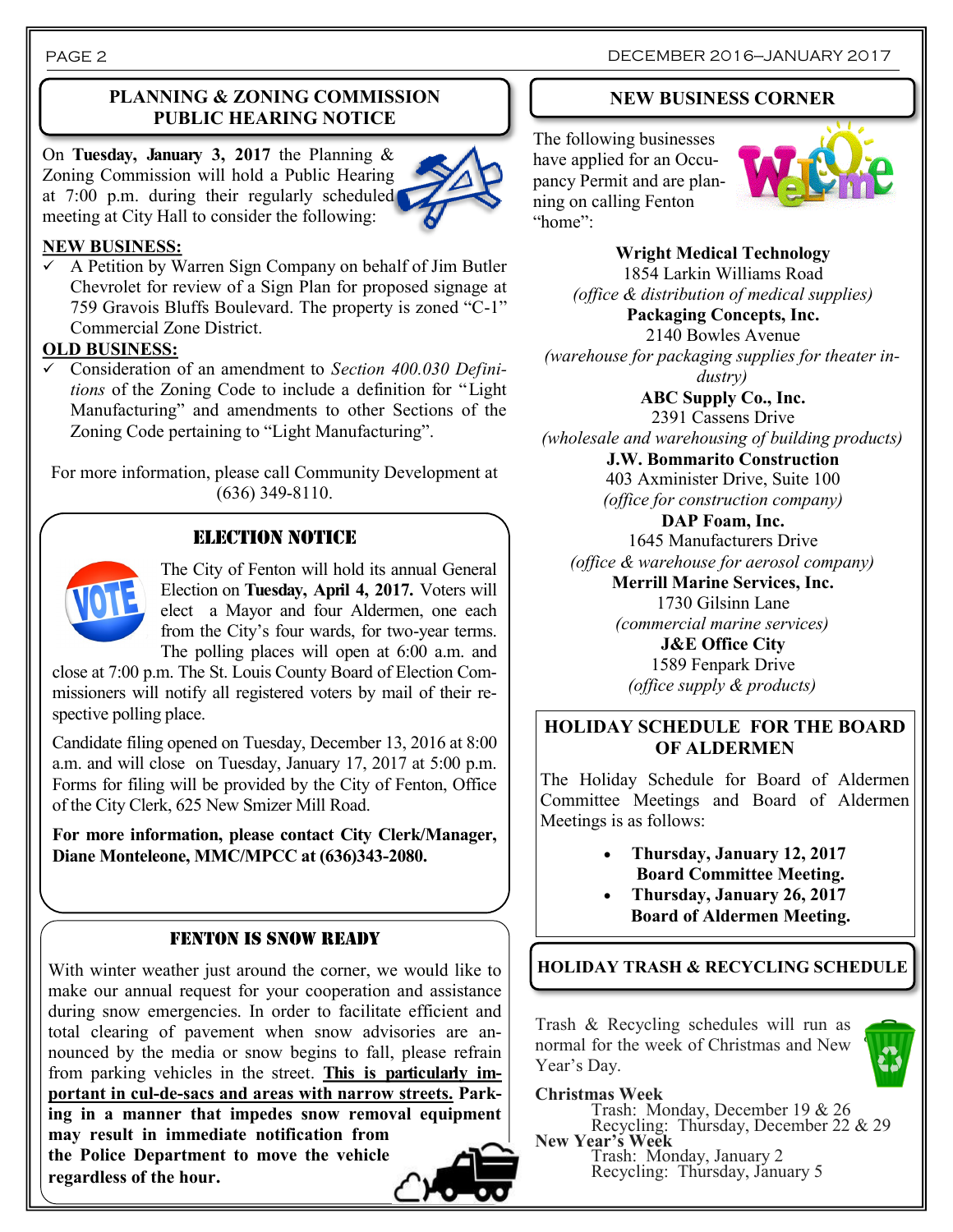### **PLANNING & ZONING COMMISSION PUBLIC HEARING NOTICE**

On **Tuesday, January 3, 2017** the Planning & Zoning Commission will hold a Public Hearing at 7:00 p.m. during their regularly scheduled meeting at City Hall to consider the following:



#### **NEW BUSINESS:**

 $\checkmark$  A Petition by Warren Sign Company on behalf of Jim Butler Chevrolet for review of a Sign Plan for proposed signage at 759 Gravois Bluffs Boulevard. The property is zoned "C-1" Commercial Zone District.

#### **OLD BUSINESS:**

 Consideration of an amendment to *Section 400.030 Definitions* of the Zoning Code to include a definition for "Light Manufacturing" and amendments to other Sections of the Zoning Code pertaining to "Light Manufacturing".

For more information, please call Community Development at (636) 349-8110.

### ELECTION NOTICE



**regardless of the hour.**

The City of Fenton will hold its annual General Election on **Tuesday, April 4, 2017.** Voters will elect a Mayor and four Aldermen, one each from the City's four wards, for two-year terms. The polling places will open at 6:00 a.m. and

close at 7:00 p.m. The St. Louis County Board of Election Commissioners will notify all registered voters by mail of their respective polling place.

Candidate filing opened on Tuesday, December 13, 2016 at 8:00 a.m. and will close on Tuesday, January 17, 2017 at 5:00 p.m. Forms for filing will be provided by the City of Fenton, Office of the City Clerk, 625 New Smizer Mill Road.

**For more information, please contact City Clerk/Manager, Diane Monteleone, MMC/MPCC at (636)343-2080.**

#### FENTON IS SNOW READY

With winter weather just around the corner, we would like to make our annual request for your cooperation and assistance during snow emergencies. In order to facilitate efficient and total clearing of pavement when snow advisories are announced by the media or snow begins to fall, please refrain from parking vehicles in the street. **This is particularly important in cul-de-sacs and areas with narrow streets. Parking in a manner that impedes snow removal equipment may result in immediate notification from the Police Department to move the vehicle** 

#### **NEW BUSINESS CORNER**

The following businesses have applied for an Occupancy Permit and are planning on calling Fenton "home":



**Wright Medical Technology** 1854 Larkin Williams Road *(office & distribution of medical supplies)* **Packaging Concepts, Inc.** 2140 Bowles Avenue *(warehouse for packaging supplies for theater industry)*

**ABC Supply Co., Inc.** 2391 Cassens Drive *(wholesale and warehousing of building products)* **J.W. Bommarito Construction** 403 Axminister Drive, Suite 100

*(office for construction company)*

**DAP Foam, Inc.** 1645 Manufacturers Drive *(office & warehouse for aerosol company)* **Merrill Marine Services, Inc.** 1730 Gilsinn Lane *(commercial marine services)*

> **J&E Office City** 1589 Fenpark Drive *(office supply & products)*

#### **HOLIDAY SCHEDULE FOR THE BOARD OF ALDERMEN**

The Holiday Schedule for Board of Aldermen Committee Meetings and Board of Aldermen Meetings is as follows:

- **Thursday, January 12, 2017 Board Committee Meeting.**
- **Thursday, January 26, 2017 Board of Aldermen Meeting.**

**HOLIDAY TRASH & RECYCLING SCHEDULE**

Trash & Recycling schedules will run as normal for the week of Christmas and New Year's Day.



Trash: Monday, December 19 & 26 Recycling: Thursday, December 22 & 29 **New Year's Week**

Trash: Monday, January 2 Recycling: Thursday, January 5

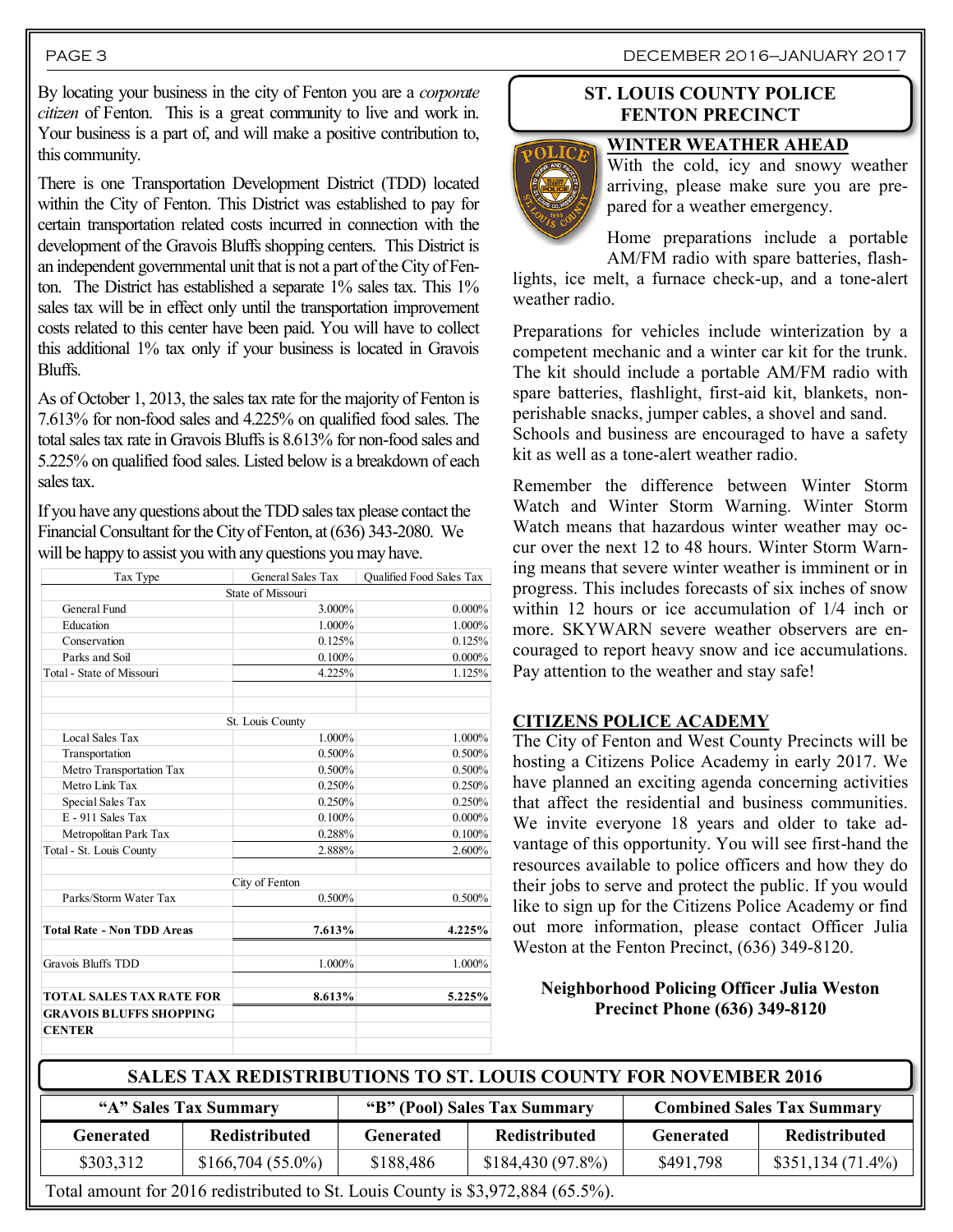#### PAGE 3 DECEMBER 2016—JANUARY 2017

By locating your business in the city of Fenton you are a *corporate citizen* of Fenton. This is a great community to live and work in. Your business is a part of, and will make a positive contribution to, this community.

There is one Transportation Development District (TDD) located within the City of Fenton. This District was established to pay for certain transportation related costs incurred in connection with the development of the Gravois Bluffs shopping centers. This District is an independent governmental unit that is not a part of the City of Fenton. The District has established a separate 1% sales tax. This 1% sales tax will be in effect only until the transportation improvement costs related to this center have been paid. You will have to collect this additional 1% tax only if your business is located in Gravois Bluffs.

As of October 1, 2013, the sales tax rate for the majority of Fenton is 7.613% for non-food sales and 4.225% on qualified food sales. The total sales tax rate in Gravois Bluffs is 8.613% for non-food sales and 5.225% on qualified food sales. Listed below is a breakdown of each sales tax.

If you have any questions about the TDD sales tax please contact the Financial Consultant for the City of Fenton, at (636) 343-2080. We will be happy to assist you with any questions you may have.

| Tax Type                          | General Sales Tax | Qualified Food Sales Tax |
|-----------------------------------|-------------------|--------------------------|
|                                   | State of Missouri |                          |
| General Fund                      | 3.000%            | $0.000\%$                |
| Education                         | 1.000%            | 1.000%                   |
| Conservation                      | 0.125%            | 0.125%                   |
| Parks and Soil                    | 0.100%            | 0.000%                   |
| Total - State of Missouri         | 4.225%            | 1.125%                   |
|                                   | St. Louis County  |                          |
| Local Sales Tax                   | 1.000%            | 1.000%                   |
| Transportation                    | 0.500%            | 0.500%                   |
| Metro Transportation Tax          | 0.500%            | 0.500%                   |
| Metro Link Tax                    | 0.250%            | 0.250%                   |
| Special Sales Tax                 | 0.250%            | 0.250%                   |
| E - 911 Sales Tax                 | 0.100%            | $0.000\%$                |
| Metropolitan Park Tax             | 0.288%            | 0.100%                   |
| Total - St. Louis County          | 2.888%            | 2.600%                   |
|                                   | City of Fenton    |                          |
| Parks/Storm Water Tax             | 0.500%            | 0.500%                   |
| <b>Total Rate - Non TDD Areas</b> | 7.613%            | 4.225%                   |
| <b>Gravois Bluffs TDD</b>         | 1.000%            | 1.000%                   |
| <b>TOTAL SALES TAX RATE FOR</b>   | 8.613%            | 5.225%                   |
| <b>GRAVOIS BLUFFS SHOPPING</b>    |                   |                          |
| <b>CENTER</b>                     |                   |                          |
|                                   |                   |                          |

#### **ST. LOUIS COUNTY POLICE FENTON PRECINCT**

**WINTER WEATHER AHEAD**



With the cold, icy and snowy weather arriving, please make sure you are prepared for a weather emergency.

Home preparations include a portable AM/FM radio with spare batteries, flash-

lights, ice melt, a furnace check-up, and a tone-alert weather radio.

Preparations for vehicles include winterization by a competent mechanic and a winter car kit for the trunk. The kit should include a portable AM/FM radio with spare batteries, flashlight, first-aid kit, blankets, nonperishable snacks, jumper cables, a shovel and sand. Schools and business are encouraged to have a safety kit as well as a tone-alert weather radio.

Remember the difference between Winter Storm Watch and Winter Storm Warning. Winter Storm Watch means that hazardous winter weather may occur over the next 12 to 48 hours. Winter Storm Warning means that severe winter weather is imminent or in progress. This includes forecasts of six inches of snow within 12 hours or ice accumulation of 1/4 inch or more. SKYWARN severe weather observers are encouraged to report heavy snow and ice accumulations. Pay attention to the weather and stay safe!

#### **CITIZENS POLICE ACADEMY**

The City of Fenton and West County Precincts will be hosting a Citizens Police Academy in early 2017. We have planned an exciting agenda concerning activities that affect the residential and business communities. We invite everyone 18 years and older to take advantage of this opportunity. You will see first-hand the resources available to police officers and how they do their jobs to serve and protect the public. If you would like to sign up for the Citizens Police Academy or find out more information, please contact Officer Julia Weston at the Fenton Precinct, (636) 349-8120.

#### **Neighborhood Policing Officer Julia Weston Precinct Phone (636) 349-8120**

| SALES TAX REDISTRIBUTIONS TO ST. LOUIS COUNTY FOR NOVEMBER 2016                 |                       |                              |                      |                                   |                    |
|---------------------------------------------------------------------------------|-----------------------|------------------------------|----------------------|-----------------------------------|--------------------|
|                                                                                 | "A" Sales Tax Summary | "B" (Pool) Sales Tax Summary |                      | <b>Combined Sales Tax Summary</b> |                    |
| <b>Generated</b>                                                                | <b>Redistributed</b>  | <b>Generated</b>             | <b>Redistributed</b> | <b>Generated</b>                  | Redistributed      |
| \$303,312                                                                       | $$166,704(55.0\%)$    | \$188,486                    | \$184,430(97.8%)     | \$491,798                         | $$351,134(71.4\%)$ |
| Total amount for 2016 redistributed to St. Louis County is \$3,972,884 (65.5%). |                       |                              |                      |                                   |                    |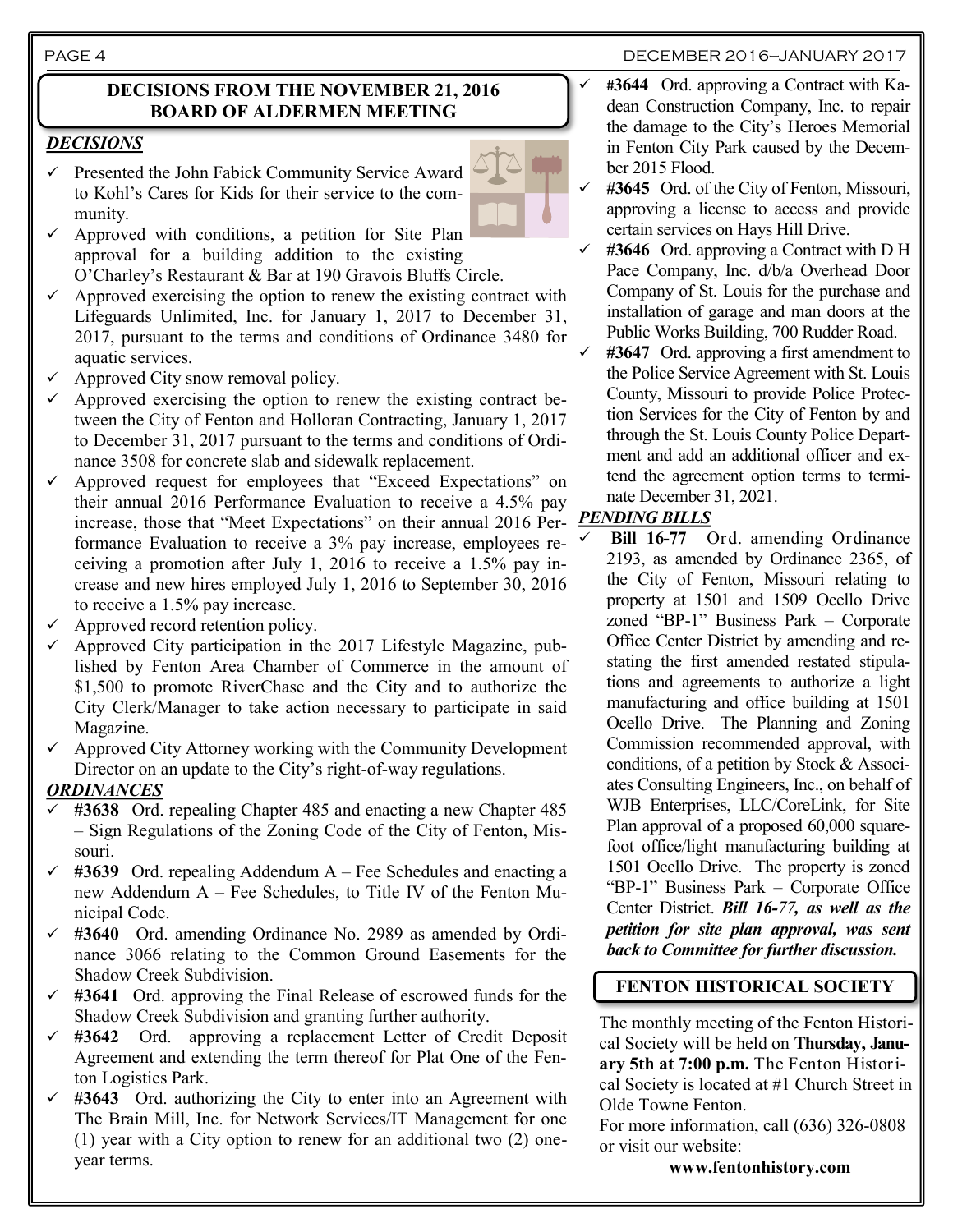#### PAGE 4 DECEMBER 2016—JANUARY 2017

#### **DECISIONS FROM THE NOVEMBER 21, 2016 BOARD OF ALDERMEN MEETING**

#### *DECISIONS*

- Presented the John Fabick Community Service Award to Kohl's Cares for Kids for their service to the community.
- Approved with conditions, a petition for Site Plan approval for a building addition to the existing O'Charley's Restaurant & Bar at 190 Gravois Bluffs Circle.
- Approved exercising the option to renew the existing contract with Lifeguards Unlimited, Inc. for January 1, 2017 to December 31, 2017, pursuant to the terms and conditions of Ordinance 3480 for aquatic services.
- $\checkmark$  Approved City snow removal policy.
- Approved exercising the option to renew the existing contract between the City of Fenton and Holloran Contracting, January 1, 2017 to December 31, 2017 pursuant to the terms and conditions of Ordinance 3508 for concrete slab and sidewalk replacement.
- Approved request for employees that "Exceed Expectations" on their annual 2016 Performance Evaluation to receive a 4.5% pay increase, those that "Meet Expectations" on their annual 2016 Per-*PENDING BILLS* formance Evaluation to receive a 3% pay increase, employees receiving a promotion after July 1, 2016 to receive a 1.5% pay increase and new hires employed July 1, 2016 to September 30, 2016 to receive a 1.5% pay increase.
- Approved record retention policy.
- Approved City participation in the 2017 Lifestyle Magazine, published by Fenton Area Chamber of Commerce in the amount of \$1,500 to promote RiverChase and the City and to authorize the City Clerk/Manager to take action necessary to participate in said Magazine.
- Approved City Attorney working with the Community Development Director on an update to the City's right-of-way regulations.

#### *ORDINANCES*

- **#3638** Ord. repealing Chapter 485 and enacting a new Chapter 485 – Sign Regulations of the Zoning Code of the City of Fenton, Missouri.
- $\checkmark$  #3639 Ord. repealing Addendum A Fee Schedules and enacting a new Addendum A – Fee Schedules, to Title IV of the Fenton Municipal Code.
- **#3640** Ord. amending Ordinance No. 2989 as amended by Ordinance 3066 relating to the Common Ground Easements for the Shadow Creek Subdivision.
- **#3641** Ord. approving the Final Release of escrowed funds for the Shadow Creek Subdivision and granting further authority.
- **#3642** Ord. approving a replacement Letter of Credit Deposit Agreement and extending the term thereof for Plat One of the Fenton Logistics Park.
- **#3643** Ord. authorizing the City to enter into an Agreement with The Brain Mill, Inc. for Network Services/IT Management for one (1) year with a City option to renew for an additional two (2) oneyear terms.



- #**3644** Ord. approving a Contract with Kadean Construction Company, Inc. to repair the damage to the City's Heroes Memorial in Fenton City Park caused by the December 2015 Flood.
- **#3645** Ord. of the City of Fenton, Missouri, approving a license to access and provide certain services on Hays Hill Drive.
- **#3646** Ord. approving a Contract with D H Pace Company, Inc. d/b/a Overhead Door Company of St. Louis for the purchase and installation of garage and man doors at the Public Works Building, 700 Rudder Road.
- **#3647** Ord. approving a first amendment to the Police Service Agreement with St. Louis County, Missouri to provide Police Protection Services for the City of Fenton by and through the St. Louis County Police Department and add an additional officer and extend the agreement option terms to terminate December 31, 2021.

 **Bill 16-77** Ord. amending Ordinance 2193, as amended by Ordinance 2365, of the City of Fenton, Missouri relating to property at 1501 and 1509 Ocello Drive zoned "BP-1" Business Park – Corporate Office Center District by amending and restating the first amended restated stipulations and agreements to authorize a light manufacturing and office building at 1501 Ocello Drive.The Planning and Zoning Commission recommended approval, with conditions, of a petition by Stock & Associates Consulting Engineers, Inc., on behalf of WJB Enterprises, LLC/CoreLink, for Site Plan approval of a proposed 60,000 squarefoot office/light manufacturing building at 1501 Ocello Drive. The property is zoned "BP-1" Business Park – Corporate Office Center District. *Bill 16-77, as well as the petition for site plan approval, was sent back to Committee for further discussion.*

#### **FENTON HISTORICAL SOCIETY**

The monthly meeting of the Fenton Historical Society will be held on **Thursday, January 5th at 7:00 p.m.** The Fenton Historical Society is located at #1 Church Street in Olde Towne Fenton.

For more information, call (636) 326-0808 or visit our website:

**www.fentonhistory.com**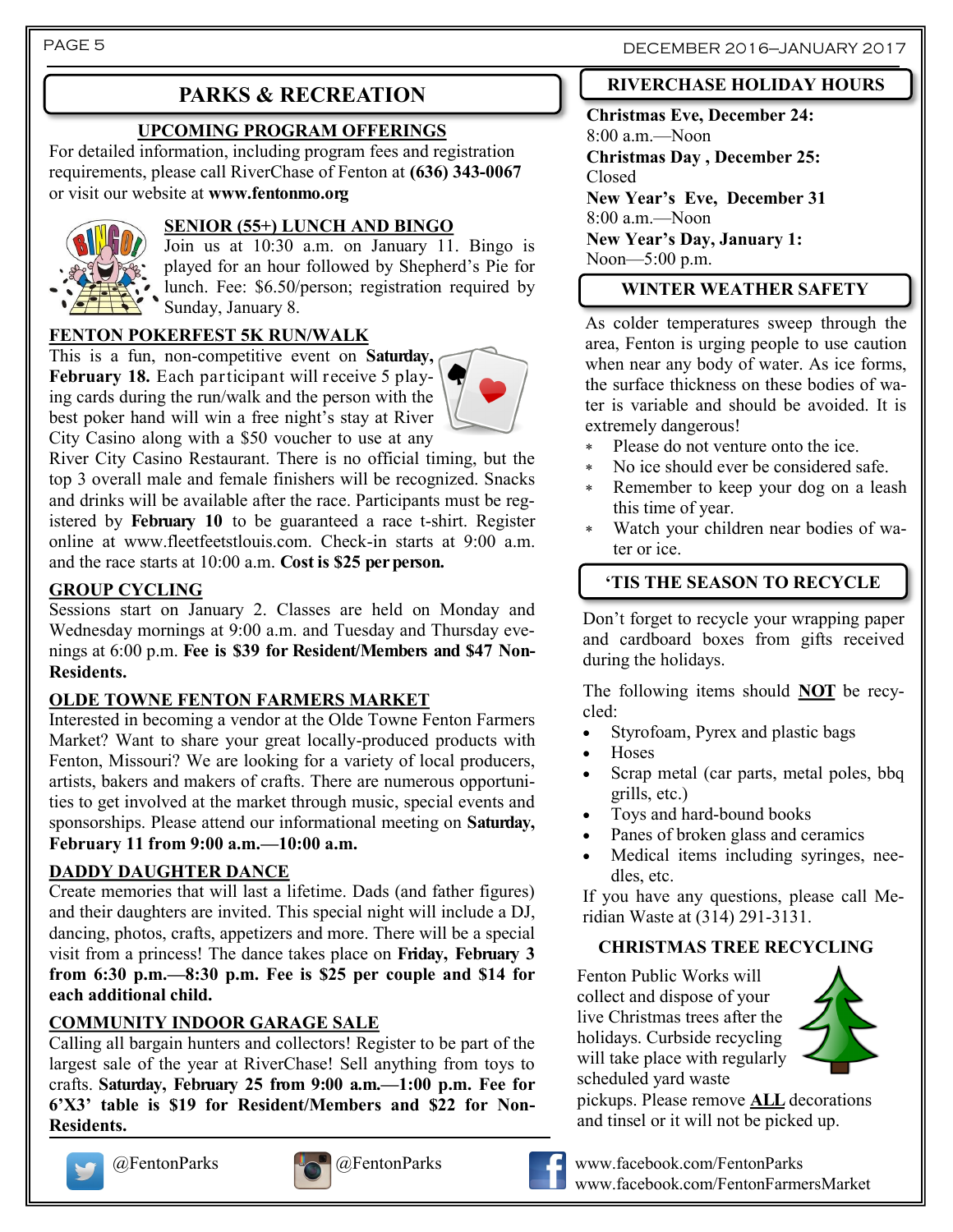# **PARKS & RECREATION**

### **UPCOMING PROGRAM OFFERINGS**

For detailed information, including program fees and registration requirements, please call RiverChase of Fenton at **(636) 343-0067**  or visit our website at **www.fentonmo.org**



#### **SENIOR (55+) LUNCH AND BINGO**

Join us at 10:30 a.m. on January 11. Bingo is played for an hour followed by Shepherd's Pie for lunch. Fee: \$6.50/person; registration required by Sunday, January 8.

### **FENTON POKERFEST 5K RUN/WALK**

This is a fun, non-competitive event on **Saturday, February 18.** Each participant will receive 5 playing cards during the run/walk and the person with the best poker hand will win a free night's stay at River City Casino along with a \$50 voucher to use at any



River City Casino Restaurant. There is no official timing, but the top 3 overall male and female finishers will be recognized. Snacks and drinks will be available after the race. Participants must be registered by **February 10** to be guaranteed a race t-shirt. Register online at www.fleetfeetstlouis.com. Check-in starts at 9:00 a.m. and the race starts at 10:00 a.m. **Cost is \$25 per person.**

### **GROUP CYCLING**

Sessions start on January 2. Classes are held on Monday and Wednesday mornings at 9:00 a.m. and Tuesday and Thursday evenings at 6:00 p.m. **Fee is \$39 for Resident/Members and \$47 Non-Residents.**

#### **OLDE TOWNE FENTON FARMERS MARKET**

Interested in becoming a vendor at the Olde Towne Fenton Farmers Market? Want to share your great locally-produced products with Fenton, Missouri? We are looking for a variety of local producers, artists, bakers and makers of crafts. There are numerous opportunities to get involved at the market through music, special events and sponsorships. Please attend our informational meeting on **Saturday, February 11 from 9:00 a.m.—10:00 a.m.**

### **DADDY DAUGHTER DANCE**

Create memories that will last a lifetime. Dads (and father figures) and their daughters are invited. This special night will include a DJ, dancing, photos, crafts, appetizers and more. There will be a special visit from a princess! The dance takes place on **Friday, February 3 from 6:30 p.m.—8:30 p.m. Fee is \$25 per couple and \$14 for each additional child.** 

### **COMMUNITY INDOOR GARAGE SALE**

Calling all bargain hunters and collectors! Register to be part of the largest sale of the year at RiverChase! Sell anything from toys to crafts. **Saturday, February 25 from 9:00 a.m.—1:00 p.m. Fee for 6'X3' table is \$19 for Resident/Members and \$22 for Non-Residents.**







### **RIVERCHASE HOLIDAY HOURS**

**Christmas Eve, December 24:**  8:00 a.m.—Noon **Christmas Day , December 25:** Closed **New Year's Eve, December 31**  8:00 a.m.—Noon **New Year's Day, January 1:** Noon—5:00 p.m.

#### **WINTER WEATHER SAFETY**

As colder temperatures sweep through the area, Fenton is urging people to use caution when near any body of water. As ice forms, the surface thickness on these bodies of water is variable and should be avoided. It is extremely dangerous!

- Please do not venture onto the ice.
- No ice should ever be considered safe.
- Remember to keep your dog on a leash this time of year.
- Watch your children near bodies of water or ice.

## **'TIS THE SEASON TO RECYCLE**

Don't forget to recycle your wrapping paper and cardboard boxes from gifts received during the holidays.

The following items should **NOT** be recycled:

- Styrofoam, Pyrex and plastic bags
- Hoses
- Scrap metal (car parts, metal poles, bbq grills, etc.)
- Toys and hard-bound books
- Panes of broken glass and ceramics
- Medical items including syringes, needles, etc.

If you have any questions, please call Meridian Waste at (314) 291-3131.

#### **CHRISTMAS TREE RECYCLING**

Fenton Public Works will collect and dispose of your live Christmas trees after the holidays. Curbside recycling will take place with regularly scheduled yard waste



pickups. Please remove **ALL** decorations and tinsel or it will not be picked up.



@FentonParks @FentonParks www.facebook.com/FentonParks www.facebook.com/FentonFarmersMarket